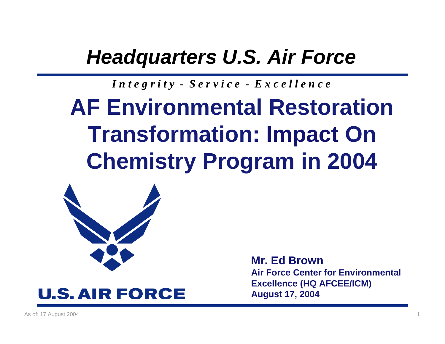### *Headquarters U.S. Air Force*

#### *I n t e g r i t y - S e r v i c e - E x c e l l e n c e*

# **AF Environmental RestorationTransformation: Impact On Chemistry Program in 2004**





**Mr. Ed BrownAir Force Center for Environmental Excellence (HQ AFCEE/ICM) August 17, 2004**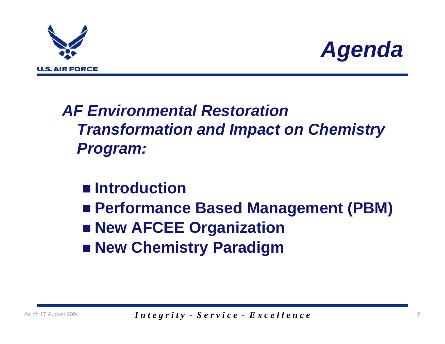



### *AF Environmental RestorationTransformation and Impact on Chemistry Program:*

### ■ Introduction

- **Performance Based Management (PBM)**
- **New AFCEE Organization**
- **New Chemistry Paradigm**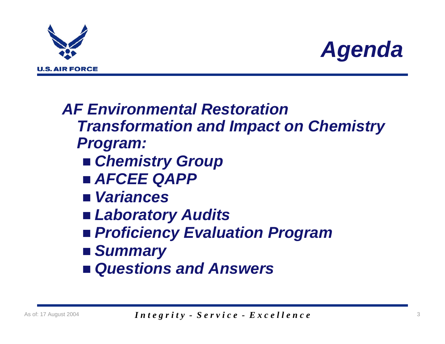



*AF Environmental RestorationTransformation and Impact on Chemistry Program: Chemistry Group AFCEE QAPP Variances Laboratory Audits Proficiency Evaluation Program Summary Questions and Answers*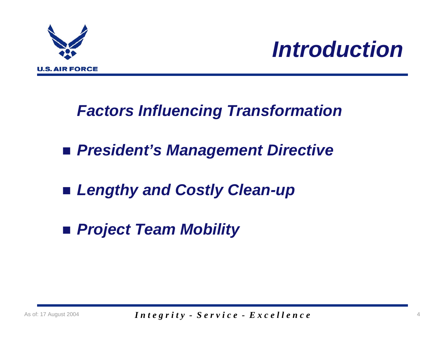

### *Factors Influencing Transformation*

- *President's Management Directive*
- *Lengthy and Costly Clean-up*
- *Project Team Mobility*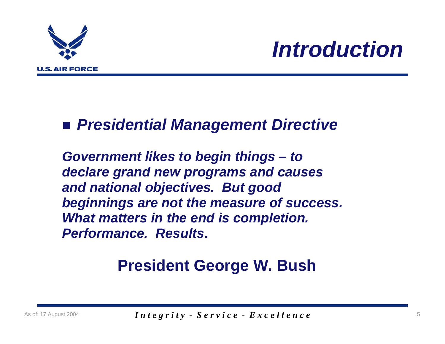

### *Presidential Management Directive*

*Government likes to begin things – to declare grand new programs and causes and national objectives. But good beginnings are not the measure of success. What matters in the end is completion. Performance. Results***.**

### **President George W. Bush**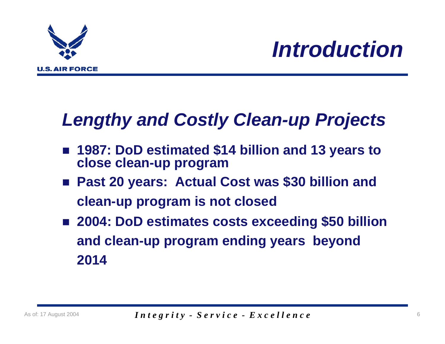

### *Lengthy and Costly Clean-up Projects*

- 1987: DoD estimated \$14 billion and 13 years to **close clean-up program**
- **Past 20 years: Actual Cost was \$30 billion and clean-up program is not closed**
- **2004: DoD estimates costs exceeding \$50 billion and clean-up program ending years beyond 2014**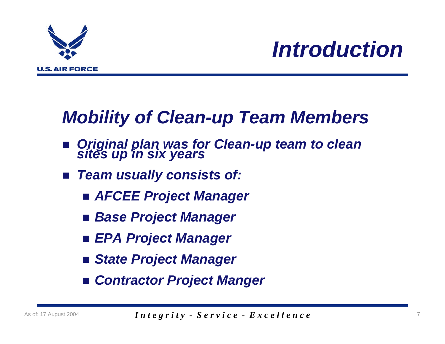

### *Mobility of Clean-up Team Members*

- $\mathcal{L}_{\mathcal{A}}$ *Original plan was for Clean-up team to clean sites up in six years*
- $\mathcal{L}_{\mathcal{A}}$  *Team usually consists of:*
	- *AFCEE Project Manager*
	- *Base Project Manager*
	- *EPA Project Manager*
	- *State Project Manager*
	- *Contractor Project Manger*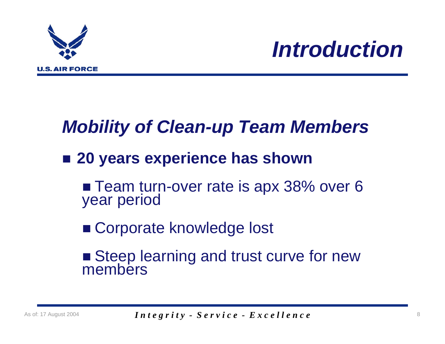

### *Mobility of Clean-up Team Members*

### ■ 20 years experience has shown

■ Team turn-over rate is apx 38% over 6<br>year period

■ Corporate knowledge lost

■ Steep learning and trust curve for new<br>members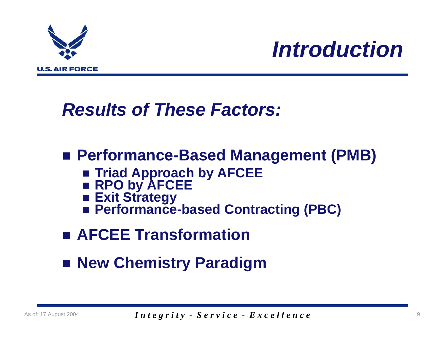

### *Results of These Factors:*

### **Performance-Based Management (PMB)**

- **Triad Approach by AFCEE**
- **RPO by AFCEE**
- Exit Strategy
- Performance-based Contracting (PBC)
- **AFCEE Transformation**
- **New Chemistry Paradigm**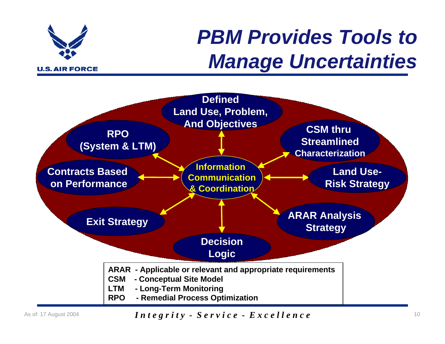

## *PBM Provides Tools to Manage Uncertainties*



#### As of: 17 August 2004 **10** *Integrity - Service - Excellence* 10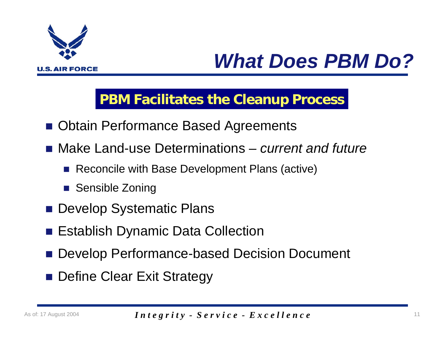

## *What Does PBM Do?*

#### **PBM Facilitates the Cleanup Process**

- **Dian Performance Based Agreements**
- Make Land-use Determinations *current and future* 
	- Reconcile with Base Development Plans (active)
	- Sensible Zoning
- **Develop Systematic Plans**
- **Establish Dynamic Data Collection**
- Develop Performance-based Decision Document
- **Define Clear Exit Strategy**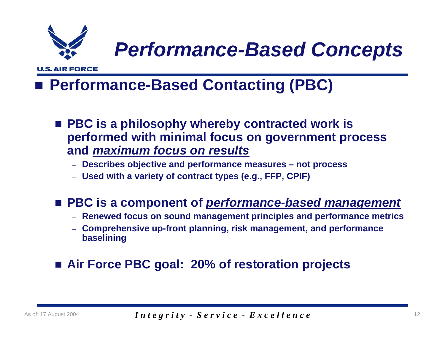

## *Performance-Based Concepts*

**U.S. AIR FORCE** 

### **Performance-Based Contacting (PBC)**

- **PBC is a philosophy whereby contracted work is performed with minimal focus on government process and** *maximum focus on results*
	- − **Describes objective and performance measures not process**
	- − **Used with a variety of contract types (e.g., FFP, CPIF)**

#### **PBC is a component of** *performance-based management*

- − **Renewed focus on sound management principles and performance metrics**
- **Comprehensive up-front planning, risk management, and performance baselining**

#### **Air Force PBC goal: 20% of restoration projects**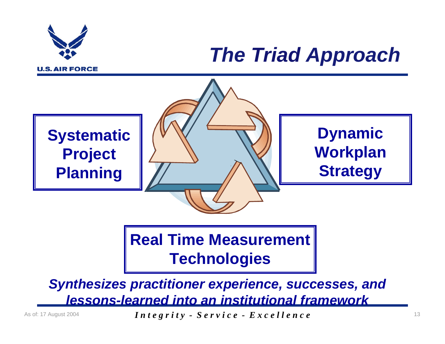

## *The Triad Approach*



**Real Time Measurement Technologies**

*Synthesizes practitioner experience, successes, and lessons-learned into an institutional framework*

As of: 17 August 2004 *Integrity - Service - Excellence*  $13$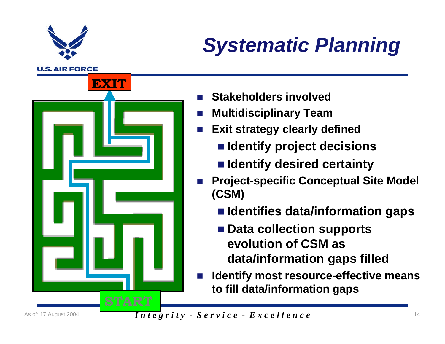

## *Systematic Planning*

**U.S. AIR FORCE** 



- $\overline{\phantom{a}}$ **Stakeholders involved**
- $\sim 10^{11}$ **Multidisciplinary Team**
- $\mathcal{L}(\mathcal{A})$  . **Exit strategy clearly defined**
	- **Identify project decisions**
	- **Identify desired certainty**
- $\mathbb{R}^3$  **Project-specific Conceptual Site Model (CSM)**
	- **Identifies data/information gaps**
	- Data collection supports **evolution of CSM asdata/information gaps filled**
- $\mathbb{R}^3$  **Identify most resource-effective means to fill data/information gaps**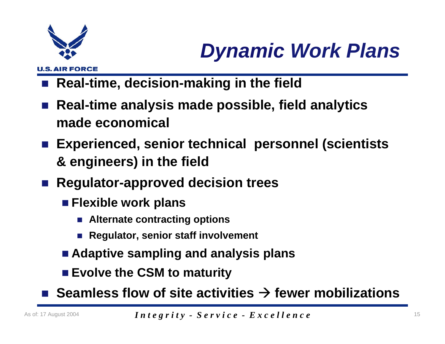

**U.S. AIR FORCE** 

# *Dynamic Work Plans*

- **Real-time, decision-making in the field**
- **Real-time analysis made possible, field analytics made economical**
- **Experienced, senior technical personnel (scientists & engineers) in the field**
- Regulator-approved decision trees
	- **Flexible work plans**
		- **Alternate contracting options**
		- Regulator, senior staff involvement
	- **Adaptive sampling and analysis plans**
	- **Evolve the CSM to maturity**
- Seamless flow of site activities **→ fewer mobilizations**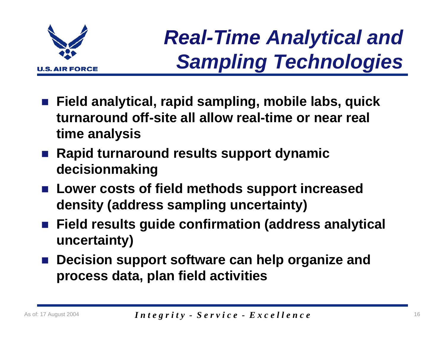

# *Real-Time Analytical and Sampling Technologies*

- **Field analytical, rapid sampling, mobile labs, quick turnaround off-site all allow real-time or near real time analysis**
- Rapid turnaround results support dynamic **decisionmaking**
- **Lower costs of field methods support increased density (address sampling uncertainty)**
- **Field results guide confirmation (address analytical uncertainty)**
- Decision support software can help organize and **process data, plan field activities**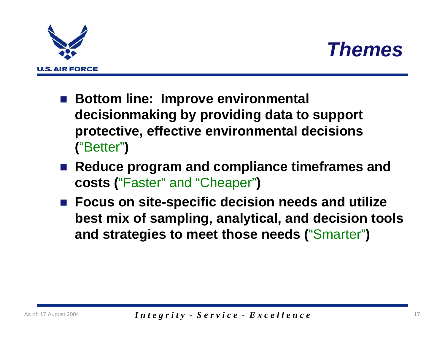



- Bottom line: Improve environmental **decisionmaking by providing data to support protective, effective environmental decisions (**"Better"**)**
- Reduce program and compliance timeframes and **costs (**"Faster" and "Cheaper"**)**
- **Focus on site-specific decision needs and utilize best mix of sampling, analytical, and decision tools and strategies to meet those needs (**"Smarter"**)**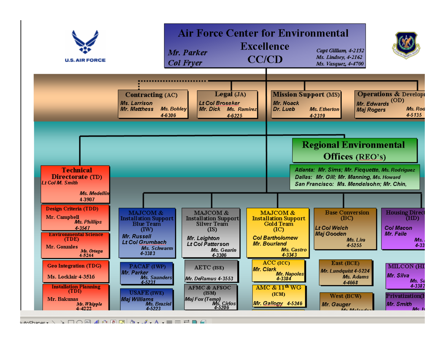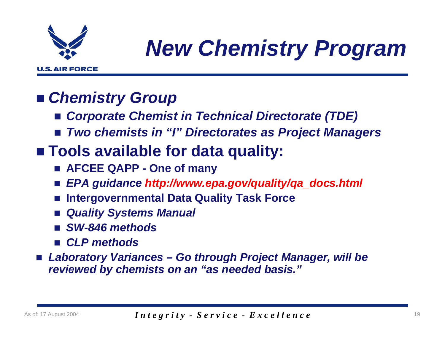

# *New Chemistry Program*

### *Chemistry Group*

- *Corporate Chemist in Technical Directorate (TDE)*
- *Two chemists in "I" Directorates as Project Managers*

### **Tools available for data quality:**

- **AFCEE QAPP One of many**
- $\mathbb{R}^n$ *EPA guidance http://www.epa.gov/quality/qa\_docs.html*
- $\mathbb{R}^3$ **Intergovernmental Data Quality Task Force**
- *Quality Systems Manual*
- *SW-846 methods*
- *CLP methods*
- *Laboratory Variances Go through Project Manager, will be reviewed by chemists on an "as needed basis."*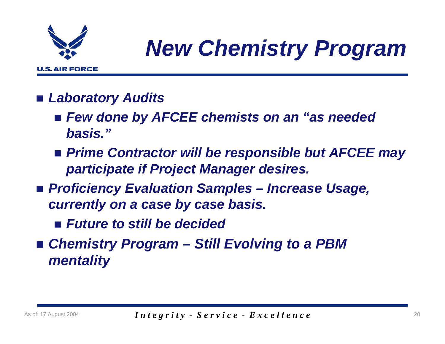

# *New Chemistry Program*

- *Laboratory Audits*
	- *Few done by AFCEE chemists on an "as needed basis."*
	- *Prime Contractor will be responsible but AFCEE may participate if Project Manager desires.*
- *Proficiency Evaluation Samples Increase Usage, currently on a case by case basis.*
	- *Future to still be decided*
- *Chemistry Program Still Evolving to a PBM mentality*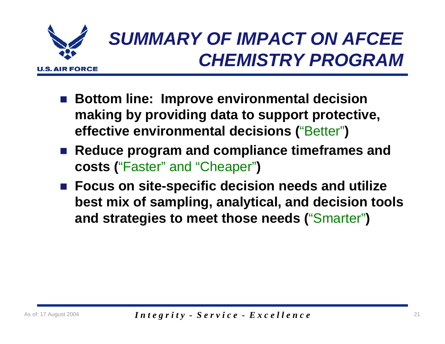

### *SUMMARY OF IMPACT ON AFCEE CHEMISTRY PROGRAM*

- Bottom line: Improve environmental decision **making by providing data to support protective, effective environmental decisions (**"Better"**)**
- Reduce program and compliance timeframes and **costs (**"Faster" and "Cheaper"**)**
- **Focus on site-specific decision needs and utilize best mix of sampling, analytical, and decision tools and strategies to meet those needs (**"Smarter"**)**